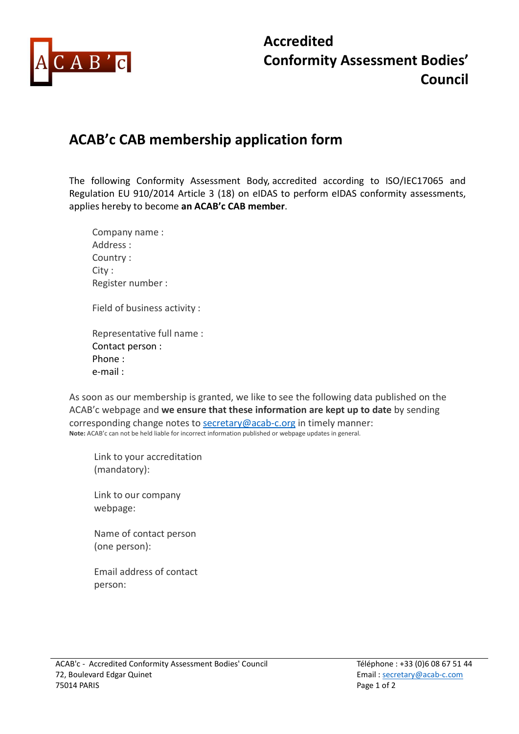

## Accredited Conformity Assessment Bodies' Council

## ACAB'c CAB membership application form

The following Conformity Assessment Body, accredited according to ISO/IEC17065 and Regulation EU 910/2014 Article 3 (18) on eIDAS to perform eIDAS conformity assessments, applies hereby to become an ACAB'c CAB member.

| Company name:               |
|-----------------------------|
| Address:                    |
| Country:                    |
| City :                      |
| Register number:            |
| Field of business activity: |
| Representative full name:   |
| Contact person:             |

Phone : e-mail :

As soon as our membership is granted, we like to see the following data published on the ACAB'c webpage and we ensure that these information are kept up to date by sending corresponding change notes to secretary@acab-c.org in timely manner: Note: ACAB'c can not be held liable for incorrect information published or webpage updates in general.

Link to your accreditation (mandatory):

Link to our company webpage:

Name of contact person (one person):

Email address of contact person: